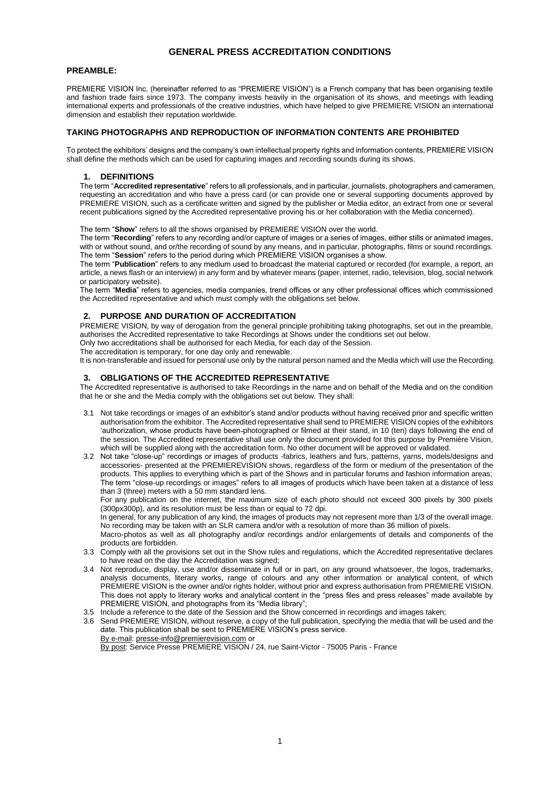# **GENERAL PRESS ACCREDITATION CONDITIONS**

## **PREAMBLE:**

PREMIERE VISION Inc. (hereinafter referred to as "PREMIERE VISION") is a French company that has been organising textile and fashion trade fairs since 1973. The company invests heavily in the organisation of its shows, and meetings with leading international experts and professionals of the creative industries, which have helped to give PREMIERE VISION an international dimension and establish their reputation worldwide.

## **TAKING PHOTOGRAPHS AND REPRODUCTION OF INFORMATION CONTENTS ARE PROHIBITED**

To protect the exhibitors' designs and the company's own intellectual property rights and information contents, PREMIERE VISION shall define the methods which can be used for capturing images and recording sounds during its shows.

#### **1. DEFINITIONS**

The term "**Accredited representative**" refers to all professionals, and in particular, journalists, photographers and cameramen, requesting an accreditation and who have a press card (or can provide one or several supporting documents approved by PREMIERE VISION, such as a certificate written and signed by the publisher or Media editor, an extract from one or several recent publications signed by the Accredited representative proving his or her collaboration with the Media concerned).

The term "**Show**" refers to all the shows organised by PREMIERE VISION over the world.

The term "**Recording**" refers to any recording and/or capture of images or a series of images, either stills or animated images, with or without sound, and or/the recording of sound by any means, and in particular, photographs, films or sound recordings. The term "**Session**" refers to the period during which PREMIERE VISION organises a show.

The term "**Publication**" refers to any medium used to broadcast the material captured or recorded (for example, a report, an article, a news flash or an interview) in any form and by whatever means (paper, internet, radio, television, blog, social network or participatory website).

The term "**Media**" refers to agencies, media companies, trend offices or any other professional offices which commissioned the Accredited representative and which must comply with the obligations set below.

#### **2. PURPOSE AND DURATION OF ACCREDITATION**

PREMIERE VISION, by way of derogation from the general principle prohibiting taking photographs, set out in the preamble, authorises the Accredited representative to take Recordings at Shows under the conditions set out below.

Only two accreditations shall be authorised for each Media, for each day of the Session.

The accreditation is temporary, for one day only and renewable.

It is non-transferable and issued for personal use only by the natural person named and the Media which will use the Recording.

# **3. OBLIGATIONS OF THE ACCREDITED REPRESENTATIVE**

The Accredited representative is authorised to take Recordings in the name and on behalf of the Media and on the condition that he or she and the Media comply with the obligations set out below. They shall:

- 3.1 Not take recordings or images of an exhibitor's stand and/or products without having received prior and specific written authorisation from the exhibitor. The Accredited representative shall send to PREMIERE VISION copies of the exhibitors 'authorization, whose products have been photographed or filmed at their stand, in 10 (ten) days following the end of the session. The Accredited representative shall use only the document provided for this purpose by Première Vision, which will be supplied along with the accreditation form. No other document will be approved or validated.
- 3.2 Not take "close-up" recordings or images of products -fabrics, leathers and furs, patterns, yarns, models/designs and accessories- presented at the PREMIEREVISION shows, regardless of the form or medium of the presentation of the products. This applies to everything which is part of the Shows and in particular forums and fashion information areas; The term "close-up recordings or images" refers to all images of products which have been taken at a distance of less than 3 (three) meters with a 50 mm standard lens.

For any publication on the internet, the maximum size of each photo should not exceed 300 pixels by 300 pixels (300px300p), and its resolution must be less than or equal to 72 dpi.

In general, for any publication of any kind, the images of products may not represent more than 1/3 of the overall image. No recording may be taken with an SLR camera and/or with a resolution of more than 36 million of pixels.

Macro-photos as well as all photography and/or recordings and/or enlargements of details and components of the products are forbidden.

- 3.3 Comply with all the provisions set out in the Show rules and regulations, which the Accredited representative declares to have read on the day the Accreditation was signed:
- 3.4 Not reproduce, display, use and/or disseminate in full or in part, on any ground whatsoever, the logos, trademarks, analysis documents, literary works, range of colours and any other information or analytical content, of which PREMIERE VISION is the owner and/or rights holder, without prior and express authorisation from PREMIERE VISION. This does not apply to literary works and analytical content in the "press files and press releases" made available by PREMIERE VISION, and photographs from its "Media library";
- 3.5 Include a reference to the date of the Session and the Show concerned in recordings and images taken;
- 3.6 Send PREMIERE VISION, without reserve, a copy of the full publication, specifying the media that will be used and the date. This publication shall be sent to PREMIERE VISION's press service. By e-mail[: presse-info@premierevision.com](mailto:presse-info@premierevision.com) or

By post: Service Presse PREMIERE VISION / 24, rue Saint-Victor - 75005 Paris - France